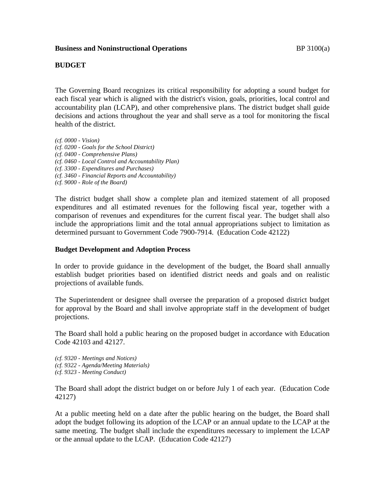# **BUDGET**

The Governing Board recognizes its critical responsibility for adopting a sound budget for each fiscal year which is aligned with the district's vision, goals, priorities, local control and accountability plan (LCAP), and other comprehensive plans. The district budget shall guide decisions and actions throughout the year and shall serve as a tool for monitoring the fiscal health of the district.

*(cf. 0000 - Vision) (cf. 0200 - Goals for the School District) (cf. 0400 - Comprehensive Plans) (cf. 0460 - Local Control and Accountability Plan) (cf. 3300 - Expenditures and Purchases) (cf. 3460 - Financial Reports and Accountability) (cf. 9000 - Role of the Board)*

The district budget shall show a complete plan and itemized statement of all proposed expenditures and all estimated revenues for the following fiscal year, together with a comparison of revenues and expenditures for the current fiscal year. The budget shall also include the appropriations limit and the total annual appropriations subject to limitation as determined pursuant to Government Code 7900-7914. (Education Code 42122)

## **Budget Development and Adoption Process**

In order to provide guidance in the development of the budget, the Board shall annually establish budget priorities based on identified district needs and goals and on realistic projections of available funds.

The Superintendent or designee shall oversee the preparation of a proposed district budget for approval by the Board and shall involve appropriate staff in the development of budget projections.

The Board shall hold a public hearing on the proposed budget in accordance with Education Code 42103 and 42127.

*(cf. 9320 - Meetings and Notices) (cf. 9322 - Agenda/Meeting Materials) (cf. 9323 - Meeting Conduct)*

The Board shall adopt the district budget on or before July 1 of each year. (Education Code 42127)

At a public meeting held on a date after the public hearing on the budget, the Board shall adopt the budget following its adoption of the LCAP or an annual update to the LCAP at the same meeting. The budget shall include the expenditures necessary to implement the LCAP or the annual update to the LCAP. (Education Code 42127)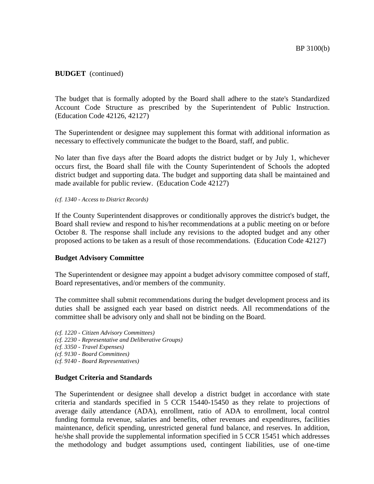The budget that is formally adopted by the Board shall adhere to the state's Standardized Account Code Structure as prescribed by the Superintendent of Public Instruction. (Education Code 42126, 42127)

The Superintendent or designee may supplement this format with additional information as necessary to effectively communicate the budget to the Board, staff, and public.

No later than five days after the Board adopts the district budget or by July 1, whichever occurs first, the Board shall file with the County Superintendent of Schools the adopted district budget and supporting data. The budget and supporting data shall be maintained and made available for public review. (Education Code 42127)

*(cf. 1340 - Access to District Records)*

If the County Superintendent disapproves or conditionally approves the district's budget, the Board shall review and respond to his/her recommendations at a public meeting on or before October 8. The response shall include any revisions to the adopted budget and any other proposed actions to be taken as a result of those recommendations. (Education Code 42127)

## **Budget Advisory Committee**

The Superintendent or designee may appoint a budget advisory committee composed of staff, Board representatives, and/or members of the community.

The committee shall submit recommendations during the budget development process and its duties shall be assigned each year based on district needs. All recommendations of the committee shall be advisory only and shall not be binding on the Board.

*(cf. 1220 - Citizen Advisory Committees) (cf. 2230 - Representative and Deliberative Groups) (cf. 3350 - Travel Expenses) (cf. 9130 - Board Committees) (cf. 9140 - Board Representatives)*

## **Budget Criteria and Standards**

The Superintendent or designee shall develop a district budget in accordance with state criteria and standards specified in 5 CCR 15440-15450 as they relate to projections of average daily attendance (ADA), enrollment, ratio of ADA to enrollment, local control funding formula revenue, salaries and benefits, other revenues and expenditures, facilities maintenance, deficit spending, unrestricted general fund balance, and reserves. In addition, he/she shall provide the supplemental information specified in 5 CCR 15451 which addresses the methodology and budget assumptions used, contingent liabilities, use of one-time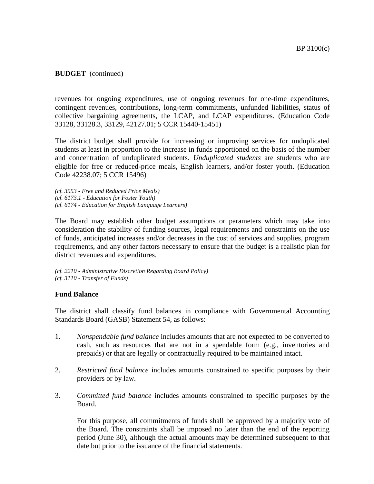revenues for ongoing expenditures, use of ongoing revenues for one-time expenditures, contingent revenues, contributions, long-term commitments, unfunded liabilities, status of collective bargaining agreements, the LCAP, and LCAP expenditures. (Education Code 33128, 33128.3, 33129, 42127.01; 5 CCR 15440-15451)

The district budget shall provide for increasing or improving services for unduplicated students at least in proportion to the increase in funds apportioned on the basis of the number and concentration of unduplicated students. *Unduplicated students* are students who are eligible for free or reduced-price meals, English learners, and/or foster youth. (Education Code 42238.07; 5 CCR 15496)

*(cf. 3553 - Free and Reduced Price Meals) (cf. 6173.1 - Education for Foster Youth) (cf. 6174 - Education for English Language Learners)*

The Board may establish other budget assumptions or parameters which may take into consideration the stability of funding sources, legal requirements and constraints on the use of funds, anticipated increases and/or decreases in the cost of services and supplies, program requirements, and any other factors necessary to ensure that the budget is a realistic plan for district revenues and expenditures.

*(cf. 2210 - Administrative Discretion Regarding Board Policy) (cf. 3110 - Transfer of Funds)*

## **Fund Balance**

The district shall classify fund balances in compliance with Governmental Accounting Standards Board (GASB) Statement 54, as follows:

- 1. *Nonspendable fund balance* includes amounts that are not expected to be converted to cash, such as resources that are not in a spendable form (e.g., inventories and prepaids) or that are legally or contractually required to be maintained intact.
- 2. *Restricted fund balance* includes amounts constrained to specific purposes by their providers or by law.
- 3. *Committed fund balance* includes amounts constrained to specific purposes by the Board.

For this purpose, all commitments of funds shall be approved by a majority vote of the Board. The constraints shall be imposed no later than the end of the reporting period (June 30), although the actual amounts may be determined subsequent to that date but prior to the issuance of the financial statements.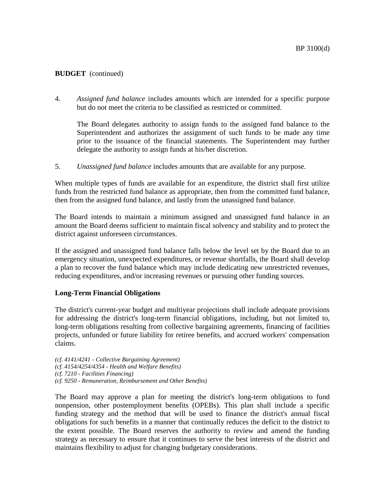4. *Assigned fund balance* includes amounts which are intended for a specific purpose but do not meet the criteria to be classified as restricted or committed.

The Board delegates authority to assign funds to the assigned fund balance to the Superintendent and authorizes the assignment of such funds to be made any time prior to the issuance of the financial statements. The Superintendent may further delegate the authority to assign funds at his/her discretion.

5. *Unassigned fund balance* includes amounts that are available for any purpose.

When multiple types of funds are available for an expenditure, the district shall first utilize funds from the restricted fund balance as appropriate, then from the committed fund balance, then from the assigned fund balance, and lastly from the unassigned fund balance.

The Board intends to maintain a minimum assigned and unassigned fund balance in an amount the Board deems sufficient to maintain fiscal solvency and stability and to protect the district against unforeseen circumstances.

If the assigned and unassigned fund balance falls below the level set by the Board due to an emergency situation, unexpected expenditures, or revenue shortfalls, the Board shall develop a plan to recover the fund balance which may include dedicating new unrestricted revenues, reducing expenditures, and/or increasing revenues or pursuing other funding sources.

### **Long-Term Financial Obligations**

The district's current-year budget and multiyear projections shall include adequate provisions for addressing the district's long-term financial obligations, including, but not limited to, long-term obligations resulting from collective bargaining agreements, financing of facilities projects, unfunded or future liability for retiree benefits, and accrued workers' compensation claims.

*(cf. 4141/4241 - Collective Bargaining Agreement) (cf. 4154/4254/4354 - Health and Welfare Benefits) (cf. 7210 - Facilities Financing) (cf. 9250 - Remuneration, Reimbursement and Other Benefits)*

The Board may approve a plan for meeting the district's long-term obligations to fund nonpension, other postemployment benefits (OPEBs). This plan shall include a specific funding strategy and the method that will be used to finance the district's annual fiscal obligations for such benefits in a manner that continually reduces the deficit to the district to the extent possible. The Board reserves the authority to review and amend the funding strategy as necessary to ensure that it continues to serve the best interests of the district and maintains flexibility to adjust for changing budgetary considerations.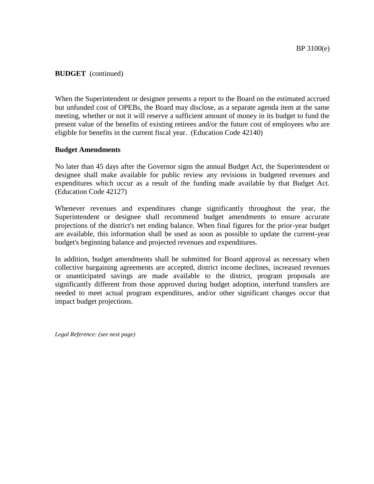When the Superintendent or designee presents a report to the Board on the estimated accrued but unfunded cost of OPEBs, the Board may disclose, as a separate agenda item at the same meeting, whether or not it will reserve a sufficient amount of money in its budget to fund the present value of the benefits of existing retirees and/or the future cost of employees who are eligible for benefits in the current fiscal year. (Education Code 42140)

## **Budget Amendments**

No later than 45 days after the Governor signs the annual Budget Act, the Superintendent or designee shall make available for public review any revisions in budgeted revenues and expenditures which occur as a result of the funding made available by that Budget Act. (Education Code 42127)

Whenever revenues and expenditures change significantly throughout the year, the Superintendent or designee shall recommend budget amendments to ensure accurate projections of the district's net ending balance. When final figures for the prior-year budget are available, this information shall be used as soon as possible to update the current-year budget's beginning balance and projected revenues and expenditures.

In addition, budget amendments shall be submitted for Board approval as necessary when collective bargaining agreements are accepted, district income declines, increased revenues or unanticipated savings are made available to the district, program proposals are significantly different from those approved during budget adoption, interfund transfers are needed to meet actual program expenditures, and/or other significant changes occur that impact budget projections.

*Legal Reference: (see next page)*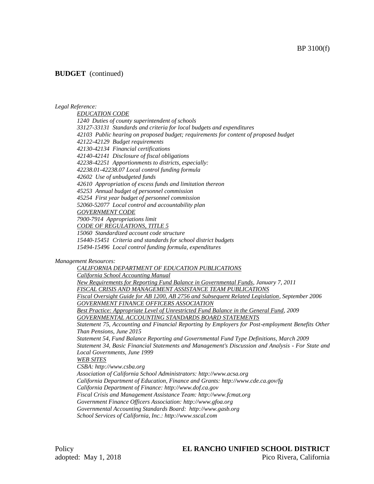#### *Legal Reference:*

*EDUCATION CODE 1240 Duties of county superintendent of schools 33127-33131 Standards and criteria for local budgets and expenditures 42103 Public hearing on proposed budget; requirements for content of proposed budget 42122-42129 Budget requirements 42130-42134 Financial certifications 42140-42141 Disclosure of fiscal obligations 42238-42251 Apportionments to districts, especially: 42238.01-42238.07 Local control funding formula 42602 Use of unbudgeted funds 42610 Appropriation of excess funds and limitation thereon 45253 Annual budget of personnel commission 45254 First year budget of personnel commission 52060-52077 Local control and accountability plan GOVERNMENT CODE 7900-7914 Appropriations limit CODE OF REGULATIONS, TITLE 5 15060 Standardized account code structure 15440-15451 Criteria and standards for school district budgets 15494-15496 Local control funding formula, expenditures*

#### *Management Resources:*

*CALIFORNIA DEPARTMENT OF EDUCATION PUBLICATIONS California School Accounting Manual New Requirements for Reporting Fund Balance in Governmental Funds, January 7, 2011 FISCAL CRISIS AND MANAGEMENT ASSISTANCE TEAM PUBLICATIONS Fiscal Oversight Guide for AB 1200, AB 2756 and Subsequent Related Legislation, September 2006 GOVERNMENT FINANCE OFFICERS ASSOCIATION Best Practice: Appropriate Level of Unrestricted Fund Balance in the General Fund, 2009 GOVERNMENTAL ACCOUNTING STANDARDS BOARD STATEMENTS Statement 75, Accounting and Financial Reporting by Employers for Post-employment Benefits Other Than Pensions, June 2015 Statement 54, Fund Balance Reporting and Governmental Fund Type Definitions, March 2009 Statement 34, Basic Financial Statements and Management's Discussion and Analysis - For State and Local Governments, June 1999 WEB SITES CSBA: http://www.csba.org Association of California School Administrators: http://www.acsa.org California Department of Education, Finance and Grants: http://www.cde.ca.gov/fg California Department of Finance: http://www.dof.ca.gov Fiscal Crisis and Management Assistance Team: http://www.fcmat.org Government Finance Officers Association: http://www.gfoa.org Governmental Accounting Standards Board: http://www.gasb.org School Services of California, Inc.: http://www.sscal.com*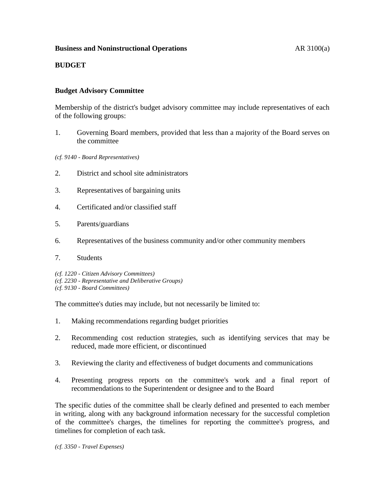## **Business and Noninstructional Operations AR 3100(a)**

## **BUDGET**

## **Budget Advisory Committee**

Membership of the district's budget advisory committee may include representatives of each of the following groups:

1. Governing Board members, provided that less than a majority of the Board serves on the committee

*(cf. 9140 - Board Representatives)*

- 2. District and school site administrators
- 3. Representatives of bargaining units
- 4. Certificated and/or classified staff
- 5. Parents/guardians
- 6. Representatives of the business community and/or other community members
- 7. Students

*(cf. 1220 - Citizen Advisory Committees) (cf. 2230 - Representative and Deliberative Groups) (cf. 9130 - Board Committees)*

The committee's duties may include, but not necessarily be limited to:

- 1. Making recommendations regarding budget priorities
- 2. Recommending cost reduction strategies, such as identifying services that may be reduced, made more efficient, or discontinued
- 3. Reviewing the clarity and effectiveness of budget documents and communications
- 4. Presenting progress reports on the committee's work and a final report of recommendations to the Superintendent or designee and to the Board

The specific duties of the committee shall be clearly defined and presented to each member in writing, along with any background information necessary for the successful completion of the committee's charges, the timelines for reporting the committee's progress, and timelines for completion of each task.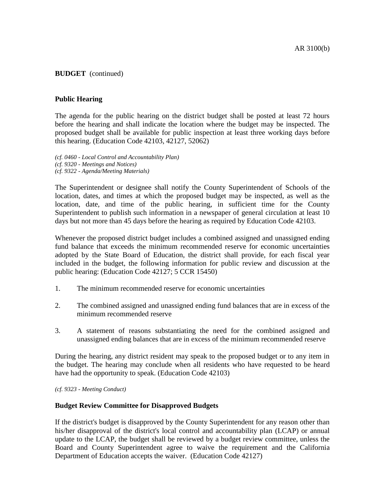## **Public Hearing**

The agenda for the public hearing on the district budget shall be posted at least 72 hours before the hearing and shall indicate the location where the budget may be inspected. The proposed budget shall be available for public inspection at least three working days before this hearing. (Education Code 42103, 42127, 52062)

*(cf. 0460 - Local Control and Accountability Plan) (cf. 9320 - Meetings and Notices) (cf. 9322 - Agenda/Meeting Materials)*

The Superintendent or designee shall notify the County Superintendent of Schools of the location, dates, and times at which the proposed budget may be inspected, as well as the location, date, and time of the public hearing, in sufficient time for the County Superintendent to publish such information in a newspaper of general circulation at least 10 days but not more than 45 days before the hearing as required by Education Code 42103.

Whenever the proposed district budget includes a combined assigned and unassigned ending fund balance that exceeds the minimum recommended reserve for economic uncertainties adopted by the State Board of Education, the district shall provide, for each fiscal year included in the budget, the following information for public review and discussion at the public hearing: (Education Code 42127; 5 CCR 15450)

- 1. The minimum recommended reserve for economic uncertainties
- 2. The combined assigned and unassigned ending fund balances that are in excess of the minimum recommended reserve
- 3. A statement of reasons substantiating the need for the combined assigned and unassigned ending balances that are in excess of the minimum recommended reserve

During the hearing, any district resident may speak to the proposed budget or to any item in the budget. The hearing may conclude when all residents who have requested to be heard have had the opportunity to speak. (Education Code 42103)

*(cf. 9323 - Meeting Conduct)*

### **Budget Review Committee for Disapproved Budgets**

If the district's budget is disapproved by the County Superintendent for any reason other than his/her disapproval of the district's local control and accountability plan (LCAP) or annual update to the LCAP, the budget shall be reviewed by a budget review committee, unless the Board and County Superintendent agree to waive the requirement and the California Department of Education accepts the waiver. (Education Code 42127)